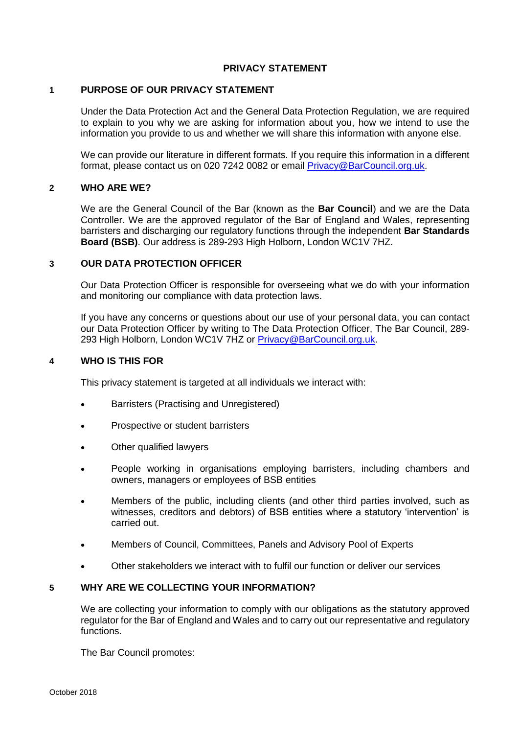# **PRIVACY STATEMENT**

# **1 PURPOSE OF OUR PRIVACY STATEMENT**

Under the Data Protection Act and the General Data Protection Regulation, we are required to explain to you why we are asking for information about you, how we intend to use the information you provide to us and whether we will share this information with anyone else.

We can provide our literature in different formats. If you require this information in a different format, please contact us on 020 7242 0082 or email [Privacy@BarCouncil.org.uk.](mailto:Privacy@BarCouncil.org.uk)

## **2 WHO ARE WE?**

We are the General Council of the Bar (known as the **Bar Council**) and we are the Data Controller. We are the approved regulator of the Bar of England and Wales, representing barristers and discharging our regulatory functions through the independent **Bar Standards Board (BSB)**. Our address is 289-293 High Holborn, London WC1V 7HZ.

#### **3 OUR DATA PROTECTION OFFICER**

Our Data Protection Officer is responsible for overseeing what we do with your information and monitoring our compliance with data protection laws.

If you have any concerns or questions about our use of your personal data, you can contact our Data Protection Officer by writing to The Data Protection Officer, The Bar Council, 289- 293 High Holborn, London WC1V 7HZ or [Privacy@BarCouncil.org.uk.](mailto:Privacy@BarCouncil.org.uk)

#### **4 WHO IS THIS FOR**

This privacy statement is targeted at all individuals we interact with:

- Barristers (Practising and Unregistered)
- Prospective or student barristers
- Other qualified lawyers
- People working in organisations employing barristers, including chambers and owners, managers or employees of BSB entities
- Members of the public, including clients (and other third parties involved, such as witnesses, creditors and debtors) of BSB entities where a statutory 'intervention' is carried out.
- Members of Council, Committees, Panels and Advisory Pool of Experts
- Other stakeholders we interact with to fulfil our function or deliver our services

# **5 WHY ARE WE COLLECTING YOUR INFORMATION?**

We are collecting your information to comply with our obligations as the statutory approved regulator for the Bar of England and Wales and to carry out our representative and regulatory functions.

The Bar Council promotes: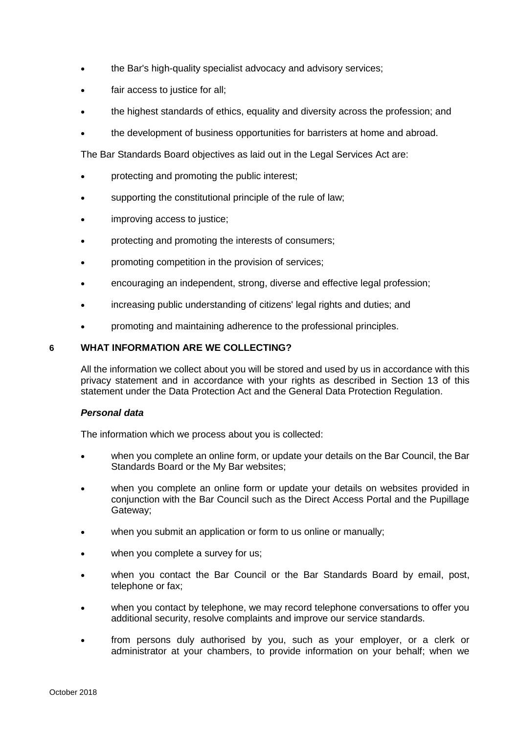- the Bar's high-quality specialist advocacy and advisory services;
- fair access to justice for all;
- the highest standards of ethics, equality and diversity across the profession; and
- the development of business opportunities for barristers at home and abroad.

The Bar Standards Board objectives as laid out in the Legal Services Act are:

- protecting and promoting the public interest;
- supporting the constitutional principle of the rule of law;
- improving access to justice;
- protecting and promoting the interests of consumers;
- promoting competition in the provision of services;
- encouraging an independent, strong, diverse and effective legal profession;
- increasing public understanding of citizens' legal rights and duties; and
- promoting and maintaining adherence to the professional principles.

# **6 WHAT INFORMATION ARE WE COLLECTING?**

All the information we collect about you will be stored and used by us in accordance with this privacy statement and in accordance with your rights as described in Section 13 of this statement under the Data Protection Act and the General Data Protection Regulation.

# *Personal data*

The information which we process about you is collected:

- when you complete an online form, or update your details on the Bar Council, the Bar Standards Board or the My Bar websites;
- when you complete an online form or update your details on websites provided in conjunction with the Bar Council such as the Direct Access Portal and the Pupillage Gateway;
- when you submit an application or form to us online or manually;
- when you complete a survey for us;
- when you contact the Bar Council or the Bar Standards Board by email, post, telephone or fax;
- when you contact by telephone, we may record telephone conversations to offer you additional security, resolve complaints and improve our service standards.
- from persons duly authorised by you, such as your employer, or a clerk or administrator at your chambers, to provide information on your behalf; when we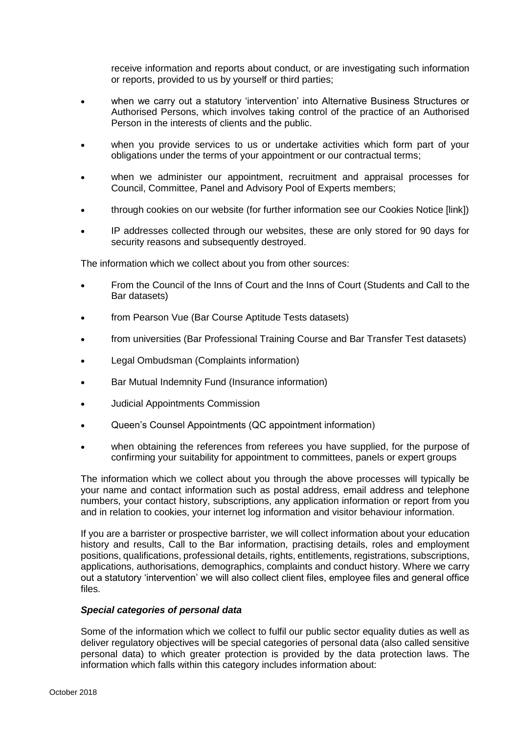receive information and reports about conduct, or are investigating such information or reports, provided to us by yourself or third parties;

- when we carry out a statutory 'intervention' into Alternative Business Structures or Authorised Persons, which involves taking control of the practice of an Authorised Person in the interests of clients and the public.
- when you provide services to us or undertake activities which form part of your obligations under the terms of your appointment or our contractual terms;
- when we administer our appointment, recruitment and appraisal processes for Council, Committee, Panel and Advisory Pool of Experts members;
- through cookies on our website (for further information see our Cookies Notice [link])
- IP addresses collected through our websites, these are only stored for 90 days for security reasons and subsequently destroyed.

The information which we collect about you from other sources:

- From the Council of the Inns of Court and the Inns of Court (Students and Call to the Bar datasets)
- from Pearson Vue (Bar Course Aptitude Tests datasets)
- from universities (Bar Professional Training Course and Bar Transfer Test datasets)
- Legal Ombudsman (Complaints information)
- Bar Mutual Indemnity Fund (Insurance information)
- Judicial Appointments Commission
- Queen's Counsel Appointments (QC appointment information)
- when obtaining the references from referees you have supplied, for the purpose of confirming your suitability for appointment to committees, panels or expert groups

The information which we collect about you through the above processes will typically be your name and contact information such as postal address, email address and telephone numbers, your contact history, subscriptions, any application information or report from you and in relation to cookies, your internet log information and visitor behaviour information.

If you are a barrister or prospective barrister, we will collect information about your education history and results, Call to the Bar information, practising details, roles and employment positions, qualifications, professional details, rights, entitlements, registrations, subscriptions, applications, authorisations, demographics, complaints and conduct history. Where we carry out a statutory 'intervention' we will also collect client files, employee files and general office files.

#### *Special categories of personal data*

Some of the information which we collect to fulfil our public sector equality duties as well as deliver regulatory objectives will be special categories of personal data (also called sensitive personal data) to which greater protection is provided by the data protection laws. The information which falls within this category includes information about: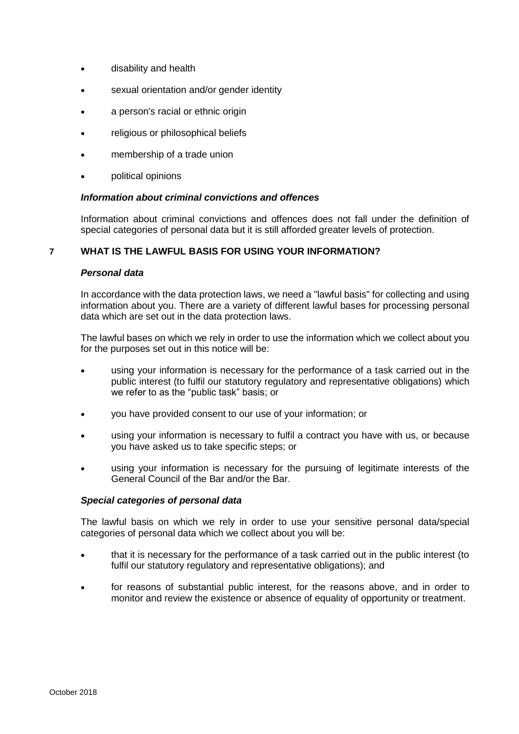- disability and health
- sexual orientation and/or gender identity
- a person's racial or ethnic origin
- religious or philosophical beliefs
- membership of a trade union
- political opinions

# *Information about criminal convictions and offences*

Information about criminal convictions and offences does not fall under the definition of special categories of personal data but it is still afforded greater levels of protection.

# **7 WHAT IS THE LAWFUL BASIS FOR USING YOUR INFORMATION?**

#### *Personal data*

In accordance with the data protection laws, we need a "lawful basis" for collecting and using information about you. There are a variety of different lawful bases for processing personal data which are set out in the data protection laws.

The lawful bases on which we rely in order to use the information which we collect about you for the purposes set out in this notice will be:

- using your information is necessary for the performance of a task carried out in the public interest (to fulfil our statutory regulatory and representative obligations) which we refer to as the "public task" basis; or
- you have provided consent to our use of your information; or
- using your information is necessary to fulfil a contract you have with us, or because you have asked us to take specific steps; or
- using your information is necessary for the pursuing of legitimate interests of the General Council of the Bar and/or the Bar.

#### *Special categories of personal data*

The lawful basis on which we rely in order to use your sensitive personal data/special categories of personal data which we collect about you will be:

- that it is necessary for the performance of a task carried out in the public interest (to fulfil our statutory regulatory and representative obligations); and
- for reasons of substantial public interest, for the reasons above, and in order to monitor and review the existence or absence of equality of opportunity or treatment.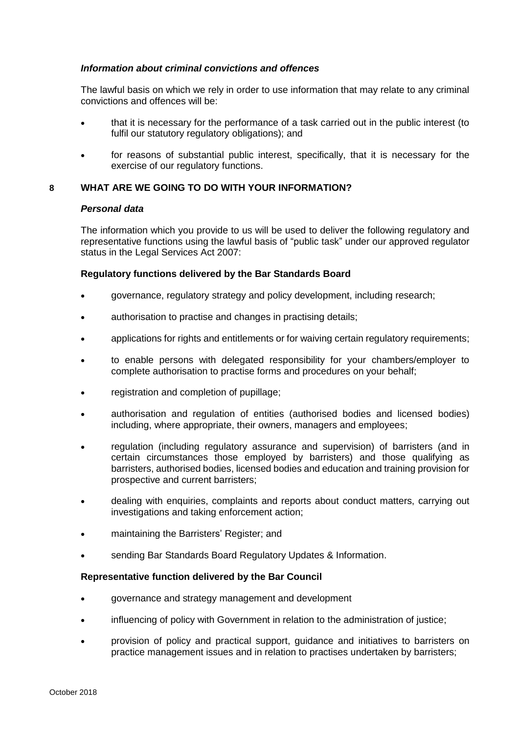# *Information about criminal convictions and offences*

The lawful basis on which we rely in order to use information that may relate to any criminal convictions and offences will be:

- that it is necessary for the performance of a task carried out in the public interest (to fulfil our statutory regulatory obligations); and
- for reasons of substantial public interest, specifically, that it is necessary for the exercise of our regulatory functions.

# **8 WHAT ARE WE GOING TO DO WITH YOUR INFORMATION?**

#### *Personal data*

The information which you provide to us will be used to deliver the following regulatory and representative functions using the lawful basis of "public task" under our approved regulator status in the Legal Services Act 2007:

# **Regulatory functions delivered by the Bar Standards Board**

- governance, regulatory strategy and policy development, including research;
- authorisation to practise and changes in practising details;
- applications for rights and entitlements or for waiving certain regulatory requirements;
- to enable persons with delegated responsibility for your chambers/employer to complete authorisation to practise forms and procedures on your behalf;
- registration and completion of pupillage;
- authorisation and regulation of entities (authorised bodies and licensed bodies) including, where appropriate, their owners, managers and employees;
- regulation (including regulatory assurance and supervision) of barristers (and in certain circumstances those employed by barristers) and those qualifying as barristers, authorised bodies, licensed bodies and education and training provision for prospective and current barristers;
- dealing with enquiries, complaints and reports about conduct matters, carrying out investigations and taking enforcement action;
- maintaining the Barristers' Register; and
- sending Bar Standards Board Regulatory Updates & Information.

#### **Representative function delivered by the Bar Council**

- governance and strategy management and development
- influencing of policy with Government in relation to the administration of justice;
- provision of policy and practical support, guidance and initiatives to barristers on practice management issues and in relation to practises undertaken by barristers;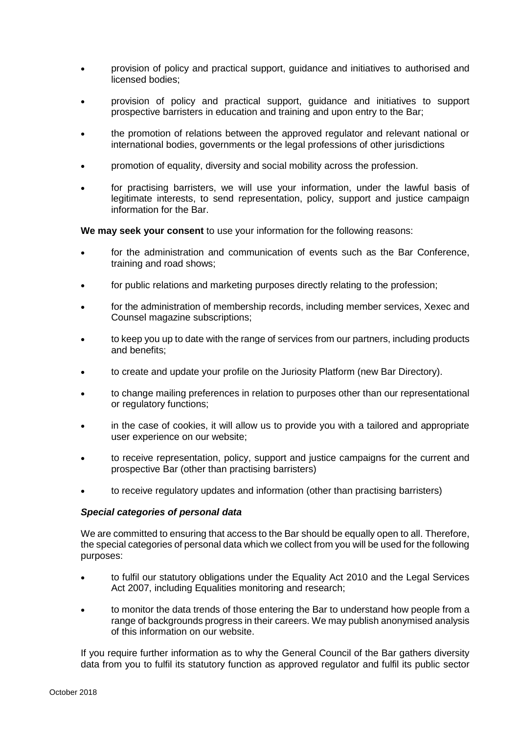- provision of policy and practical support, guidance and initiatives to authorised and licensed bodies;
- provision of policy and practical support, guidance and initiatives to support prospective barristers in education and training and upon entry to the Bar;
- the promotion of relations between the approved regulator and relevant national or international bodies, governments or the legal professions of other jurisdictions
- promotion of equality, diversity and social mobility across the profession.
- for practising barristers, we will use your information, under the lawful basis of legitimate interests, to send representation, policy, support and justice campaign information for the Bar.

**We may seek your consent** to use your information for the following reasons:

- for the administration and communication of events such as the Bar Conference, training and road shows;
- for public relations and marketing purposes directly relating to the profession;
- for the administration of membership records, including member services, Xexec and Counsel magazine subscriptions;
- to keep you up to date with the range of services from our partners, including products and benefits:
- to create and update your profile on the Juriosity Platform (new Bar Directory).
- to change mailing preferences in relation to purposes other than our representational or regulatory functions;
- in the case of cookies, it will allow us to provide you with a tailored and appropriate user experience on our website;
- to receive representation, policy, support and justice campaigns for the current and prospective Bar (other than practising barristers)
- to receive regulatory updates and information (other than practising barristers)

#### *Special categories of personal data*

We are committed to ensuring that access to the Bar should be equally open to all. Therefore, the special categories of personal data which we collect from you will be used for the following purposes:

- to fulfil our statutory obligations under the Equality Act 2010 and the Legal Services Act 2007, including Equalities monitoring and research;
- to monitor the data trends of those entering the Bar to understand how people from a range of backgrounds progress in their careers. We may publish anonymised analysis of this information on our website.

If you require further information as to why the General Council of the Bar gathers diversity data from you to fulfil its statutory function as approved regulator and fulfil its public sector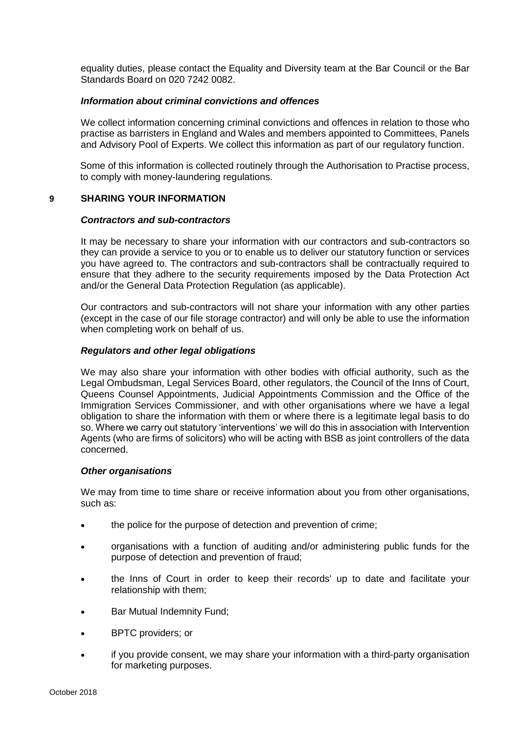equality duties, please contact the Equality and Diversity team at the Bar Council or the Bar Standards Board on 020 7242 0082.

# *Information about criminal convictions and offences*

We collect information concerning criminal convictions and offences in relation to those who practise as barristers in England and Wales and members appointed to Committees, Panels and Advisory Pool of Experts. We collect this information as part of our regulatory function.

Some of this information is collected routinely through the Authorisation to Practise process, to comply with money-laundering regulations.

# **9 SHARING YOUR INFORMATION**

#### *Contractors and sub-contractors*

It may be necessary to share your information with our contractors and sub-contractors so they can provide a service to you or to enable us to deliver our statutory function or services you have agreed to. The contractors and sub-contractors shall be contractually required to ensure that they adhere to the security requirements imposed by the Data Protection Act and/or the General Data Protection Regulation (as applicable).

Our contractors and sub-contractors will not share your information with any other parties (except in the case of our file storage contractor) and will only be able to use the information when completing work on behalf of us.

# *Regulators and other legal obligations*

We may also share your information with other bodies with official authority, such as the Legal Ombudsman, Legal Services Board, other regulators, the Council of the Inns of Court, Queens Counsel Appointments, Judicial Appointments Commission and the Office of the Immigration Services Commissioner, and with other organisations where we have a legal obligation to share the information with them or where there is a legitimate legal basis to do so. Where we carry out statutory 'interventions' we will do this in association with Intervention Agents (who are firms of solicitors) who will be acting with BSB as joint controllers of the data concerned.

#### *Other organisations*

We may from time to time share or receive information about you from other organisations, such as:

- the police for the purpose of detection and prevention of crime;
- organisations with a function of auditing and/or administering public funds for the purpose of detection and prevention of fraud;
- the Inns of Court in order to keep their records' up to date and facilitate your relationship with them;
- Bar Mutual Indemnity Fund;
- BPTC providers; or
- if you provide consent, we may share your information with a third-party organisation for marketing purposes.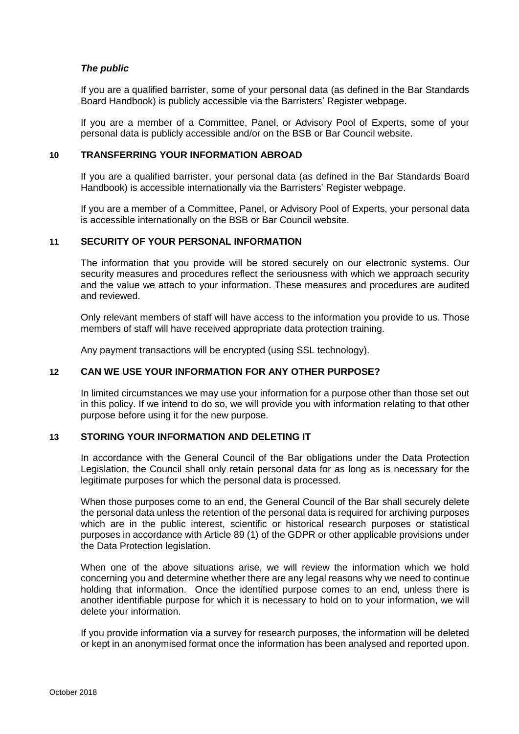# *The public*

If you are a qualified barrister, some of your personal data (as defined in the Bar Standards Board Handbook) is publicly accessible via the Barristers' Register webpage.

If you are a member of a Committee, Panel, or Advisory Pool of Experts, some of your personal data is publicly accessible and/or on the BSB or Bar Council website.

# **10 TRANSFERRING YOUR INFORMATION ABROAD**

If you are a qualified barrister, your personal data (as defined in the Bar Standards Board Handbook) is accessible internationally via the Barristers' Register webpage.

If you are a member of a Committee, Panel, or Advisory Pool of Experts, your personal data is accessible internationally on the BSB or Bar Council website.

#### **11 SECURITY OF YOUR PERSONAL INFORMATION**

The information that you provide will be stored securely on our electronic systems. Our security measures and procedures reflect the seriousness with which we approach security and the value we attach to your information. These measures and procedures are audited and reviewed.

Only relevant members of staff will have access to the information you provide to us. Those members of staff will have received appropriate data protection training.

Any payment transactions will be encrypted (using SSL technology).

# **12 CAN WE USE YOUR INFORMATION FOR ANY OTHER PURPOSE?**

In limited circumstances we may use your information for a purpose other than those set out in this policy. If we intend to do so, we will provide you with information relating to that other purpose before using it for the new purpose.

# **13 STORING YOUR INFORMATION AND DELETING IT**

In accordance with the General Council of the Bar obligations under the Data Protection Legislation, the Council shall only retain personal data for as long as is necessary for the legitimate purposes for which the personal data is processed.

When those purposes come to an end, the General Council of the Bar shall securely delete the personal data unless the retention of the personal data is required for archiving purposes which are in the public interest, scientific or historical research purposes or statistical purposes in accordance with Article 89 (1) of the GDPR or other applicable provisions under the Data Protection legislation.

When one of the above situations arise, we will review the information which we hold concerning you and determine whether there are any legal reasons why we need to continue holding that information. Once the identified purpose comes to an end, unless there is another identifiable purpose for which it is necessary to hold on to your information, we will delete your information.

If you provide information via a survey for research purposes, the information will be deleted or kept in an anonymised format once the information has been analysed and reported upon.